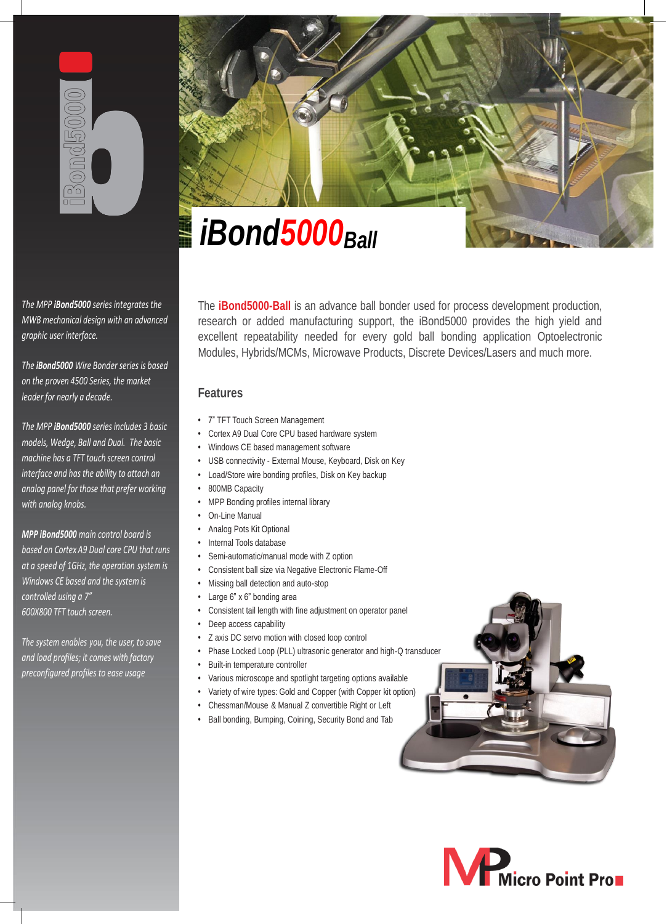

*The MPP iBond5000 series integrates the MWB mechanical design with an advanced graphic user interface.*

*The iBond5000 Wire Bonder series is based on the proven 4500 Series, the market leader for nearly a decade.*

*The MPP iBond5000 series includes 3 basic models, Wedge, Ball and Dual. The basic machine has a TFT touch screen control interface and has the ability to attach an analog panel for those that prefer working with analog knobs.*

*MPP iBond5000 main control board is based on Cortex A9 Dual core CPU that runs at a speed of 1GHz, the operation system is Windows CE based and the system is controlled using a 7" 600X800 TFT touch screen.*

*The system enables you, the user, to save and load profiles; it comes with factory preconfigured profiles to ease usage*



# *iBond5000Ball iBond5000Ball*

The **iBond5000-Ball** is an advance ball bonder used for process development production, research or added manufacturing support, the iBond5000 provides the high yield and excellent repeatability needed for every gold ball bonding application Optoelectronic Modules, Hybrids/MCMs, Microwave Products, Discrete Devices/Lasers and much more.

# **Features**

- 7" TFT Touch Screen Management
- Cortex A9 Dual Core CPU based hardware system
- Windows CE based management software
- USB connectivity External Mouse, Keyboard, Disk on Key
- Load/Store wire bonding profiles, Disk on Key backup
- 800MB Capacity
- MPP Bonding profiles internal library
- On-Line Manual
- Analog Pots Kit Optional
- Internal Tools database
- Semi-automatic/manual mode with Z option
- **•** Consistent ball size via Negative Electronic Flame-Off
- Missing ball detection and auto-stop
- Large 6" x 6" bonding area
- Consistent tail length with fine adjustment on operator panel
- Deep access capability
- Z axis DC servo motion with closed loop control
- Phase Locked Loop (PLL) ultrasonic generator and high-Q transducer
- Built-in temperature controller
- Various microscope and spotlight targeting options available
- Variety of wire types: Gold and Copper (with Copper kit option)
- Chessman/Mouse & Manual Z convertible Right or Left
- Ball bonding, Bumping, Coining, Security Bond and Tab